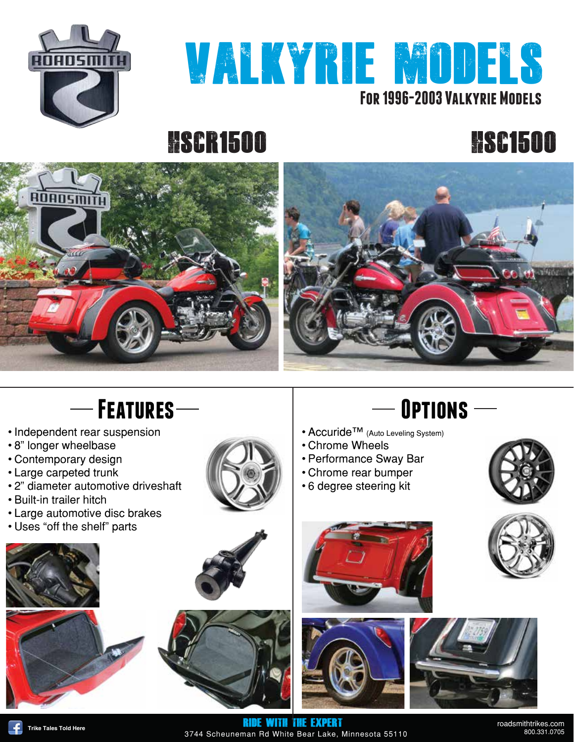

## valkyrie models **For 1996-2003 Valkyrie Models**

## hscr1500 hscr1500





## $-$  **Features**  $-$  **DPTIONS**  $-$

- Independent rear suspension
- 8" longer wheelbase
- Contemporary design
- Large carpeted trunk
- 2" diameter automotive driveshaft
- Built-in trailer hitch
- Large automotive disc brakes
- Uses "off the shelf" parts







- Accuride™ (Auto Leveling System)
- Chrome Wheels
- Performance Sway Bar
- Chrome rear bumper
- 6 degree steering kit









3744 Scheuneman Rd White Bear Lake, Minnesota 55110 800.331.0705 **Trike Tales Told Here** RIDE WITH THE EXPERT roadsmithtrikes.com